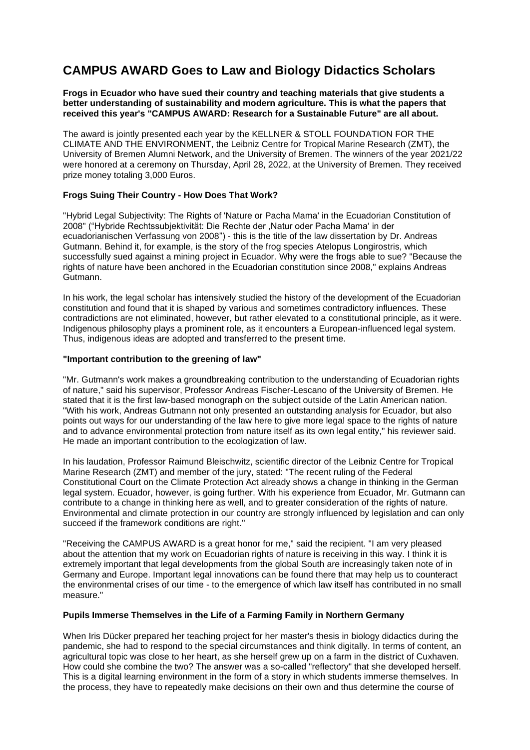# **CAMPUS AWARD Goes to Law and Biology Didactics Scholars**

#### **Frogs in Ecuador who have sued their country and teaching materials that give students a better understanding of sustainability and modern agriculture. This is what the papers that received this year's "CAMPUS AWARD: Research for a Sustainable Future" are all about.**

The award is jointly presented each year by the KELLNER & STOLL FOUNDATION FOR THE CLIMATE AND THE ENVIRONMENT, the Leibniz Centre for Tropical Marine Research (ZMT), the University of Bremen Alumni Network, and the University of Bremen. The winners of the year 2021/22 were honored at a ceremony on Thursday, April 28, 2022, at the University of Bremen. They received prize money totaling 3,000 Euros.

## **Frogs Suing Their Country - How Does That Work?**

"Hybrid Legal Subjectivity: The Rights of 'Nature or Pacha Mama' in the Ecuadorian Constitution of 2008" ("Hybride Rechtssubjektivität: Die Rechte der ,Natur oder Pacha Mama' in der ecuadorianischen Verfassung von 2008") - this is the title of the law dissertation by Dr. Andreas Gutmann. Behind it, for example, is the story of the frog species Atelopus Longirostris, which successfully sued against a mining project in Ecuador. Why were the frogs able to sue? "Because the rights of nature have been anchored in the Ecuadorian constitution since 2008," explains Andreas Gutmann.

In his work, the legal scholar has intensively studied the history of the development of the Ecuadorian constitution and found that it is shaped by various and sometimes contradictory influences. These contradictions are not eliminated, however, but rather elevated to a constitutional principle, as it were. Indigenous philosophy plays a prominent role, as it encounters a European-influenced legal system. Thus, indigenous ideas are adopted and transferred to the present time.

## **"Important contribution to the greening of law"**

"Mr. Gutmann's work makes a groundbreaking contribution to the understanding of Ecuadorian rights of nature," said his supervisor, Professor Andreas Fischer-Lescano of the University of Bremen. He stated that it is the first law-based monograph on the subject outside of the Latin American nation. "With his work, Andreas Gutmann not only presented an outstanding analysis for Ecuador, but also points out ways for our understanding of the law here to give more legal space to the rights of nature and to advance environmental protection from nature itself as its own legal entity," his reviewer said. He made an important contribution to the ecologization of law.

In his laudation, Professor Raimund Bleischwitz, scientific director of the Leibniz Centre for Tropical Marine Research (ZMT) and member of the jury, stated: "The recent ruling of the Federal Constitutional Court on the Climate Protection Act already shows a change in thinking in the German legal system. Ecuador, however, is going further. With his experience from Ecuador, Mr. Gutmann can contribute to a change in thinking here as well, and to greater consideration of the rights of nature. Environmental and climate protection in our country are strongly influenced by legislation and can only succeed if the framework conditions are right."

"Receiving the CAMPUS AWARD is a great honor for me," said the recipient. "I am very pleased about the attention that my work on Ecuadorian rights of nature is receiving in this way. I think it is extremely important that legal developments from the global South are increasingly taken note of in Germany and Europe. Important legal innovations can be found there that may help us to counteract the environmental crises of our time - to the emergence of which law itself has contributed in no small measure."

#### **Pupils Immerse Themselves in the Life of a Farming Family in Northern Germany**

When Iris Dücker prepared her teaching project for her master's thesis in biology didactics during the pandemic, she had to respond to the special circumstances and think digitally. In terms of content, an agricultural topic was close to her heart, as she herself grew up on a farm in the district of Cuxhaven. How could she combine the two? The answer was a so-called "reflectory" that she developed herself. This is a digital learning environment in the form of a story in which students immerse themselves. In the process, they have to repeatedly make decisions on their own and thus determine the course of